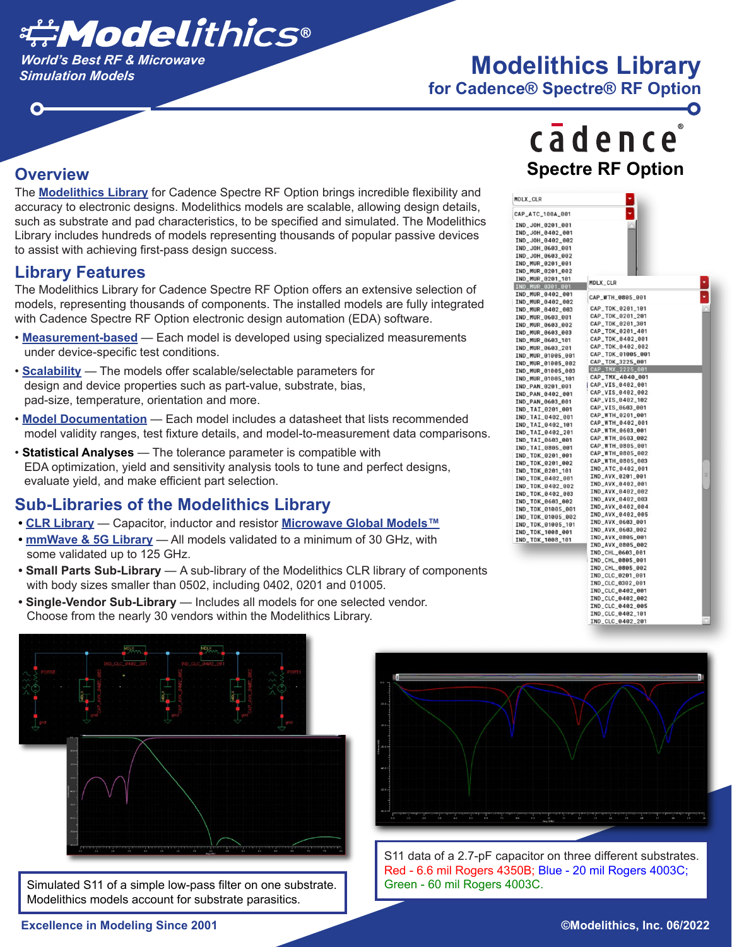

## *Simulation Models* **Modelithics Library**

**for Cadence® Spectre® RF Option**

#### **Overview**

O

The <u>Modelithics Library</u> for Cadence Spectre RF Option brings incredible flexibility and accuracy to electronic designs. Modelithics models are scalable, allowing design details, such as substrate and pad characteristics, to be specified and simulated. The Modelithics Library includes hundreds of models representing thousands of popular passive devices to assist with achieving first-pass design success.

#### **Library Features**

The Modelithics Library for Cadence Spectre RF Option offers an extensive selection of models, representing thousands of components. The installed models are fully integrated with Cadence Spectre RF Option electronic design automation (EDA) software.

- <u>Measurement-based</u> Each model is developed using specialized measurements under device-specific test conditions.
- <u>Scalability</u> The models offer scalable/selectable parameters for design and device properties such as part-value, substrate, bias, pad-size, temperature, orientation and more.
- <u>Model Documentation</u> Each model includes a datasheet that lists recommended model validity ranges, test fixture details, and model-to-measurement data comparisons.
- **Statistical Analyses** The tolerance parameter is compatible with EDA optimization, yield and sensitivity analysis tools to tune and perfect designs, evaluate yield, and make efficient part selection.

#### **Sub-Libraries of the Modelithics Library**

- CLR Library Capacitor, inductor and resistor Microwave Global Models™
- **mmWave & 5G Library** All models validated to a minimum of 30 GHz, with some validated up to 125 GHz.
- **Small Parts Sub-Library**  A sub-library of the Modelithics CLR library of components with body sizes smaller than 0502, including 0402, 0201 and 01005.
- **Single-Vendor Sub-Library** Includes all models for one selected vendor. Choose from the nearly 30 vendors within the Modelithics Library.



Simulated S11 of a simple low-pass filter on one substrate. Modelithics models account for substrate parasitics.



S11 data of a 2.7-pF capacitor on three different substrates. Red - 6.6 mil Rogers 4350B; Blue - 20 mil Rogers 4003C; Green - 60 mil Rogers 4003C.

# cadence **Spectre RF Option**

| MDLX_CLR          |                                      |   |
|-------------------|--------------------------------------|---|
| CAP_ATC_100A_001  |                                      |   |
| IND_JOH_0201_001  |                                      |   |
| IND_JOH_0402_001  |                                      |   |
| IND_JOH_0402_002  |                                      |   |
| IND_JOH_0603_001  |                                      |   |
| IND_J0H_0603_002  |                                      |   |
| IND_MUR_0201_001  |                                      |   |
| IND_MUR_0201_002  |                                      |   |
| IND_MUR_0201_101  |                                      |   |
| IND_MUR_0301_001  | MDLX_CLR                             |   |
| IND_MUR_0402_001  | CAP_WTH_0805_001                     |   |
| IND_MUR_0402_002  |                                      |   |
| IND_MUR_0402_003  | CAP_TDK_0201_101                     |   |
| IND_MUR_0603_001  | CAP_TDK_0201_201                     |   |
| IND_MUR_0603_002  | CAP_TDK_0201_301                     |   |
| IND_MUR_0603_003  | CAP_TDK_0201_401                     |   |
| IND_MUR_0603_101  | CAP_TDK_0402_001                     |   |
| IND_MUR_0603_201  | CAP_TDK_0402_002                     |   |
| IND_MUR_01005_001 | CAP_TDK_01005_001                    |   |
| IND_MUR_01005_002 | CAP_TDK_3225_001                     |   |
| IND_MUR_01005_003 | CAP_TMX_2225_001                     |   |
| IND_MUR_01005_101 | CAP_TMX_4040_001                     |   |
| IND_PAN_0201_001  | CAP_VIS_0402_001                     |   |
| IND_PAN_0402_001  | CAP_VIS_0402_002                     |   |
| IND_PAN_0603_001  | CAP_VIS_0402_102                     |   |
| IND_TAI_0201_001  | CAP_VIS_0603_001                     |   |
| IND_TAI_0402_001  | CAP_WTH_0201_001                     |   |
| IND_TAI_0402_101  | CAP_WTH_0402_001                     |   |
| IND_TAI_0402_201  | CAP_WTH_0603_001                     |   |
| IND_TAI_0603_001  | CAP_WTH_0603_002                     |   |
| IND_TAI_0805_001  | CAP_WTH_0805_001                     |   |
| IND_TDK_0201_001  | CAP_WTH_0805_002                     |   |
| IND_TDK_0201_002  | CAP_WTH_0805_003                     |   |
| IND_TDK_0201_101  | IND_ATC_0402_001                     | Ξ |
| IND_TDK_0402_001  | IND_AVX_0201_001<br>IND_AVX_0402_001 |   |
| IND_TDK_0402_002  | IND_AVX_0402_002                     |   |
| IND_TDK_0402_003  | IND_AVX_0402_003                     |   |
| IND_TDK_0603_002  | IND_AVX_0402_004                     |   |
| IND_TDK_01005_001 | IND_AVX_0402_005                     |   |
| IND_TDK_01005_002 | IND_AVX_0603_001                     |   |
| IND_TDK_01005_101 | IND_AVX_0603_002                     |   |
| IND_TDK_1008_001  | IND_AVX_0805_001                     |   |
| IND_TDK_1008_101  | IND_AVX_0805_002                     |   |
|                   | IND_CHL_0603_001                     |   |
|                   | IND_CHL_0805_001                     |   |
|                   | IND_CHL_0805_002                     |   |
|                   | IND_CLC_0201_001                     |   |
|                   | IND_CLC_0302_001                     |   |
|                   | IND_CLC_0402_001                     |   |
|                   | IND_CLC_0402_002                     |   |
|                   | IND_CLC_0402_005                     |   |
|                   | IND_CLC_0402_101                     |   |
|                   | IND_CLC_0402_201                     |   |